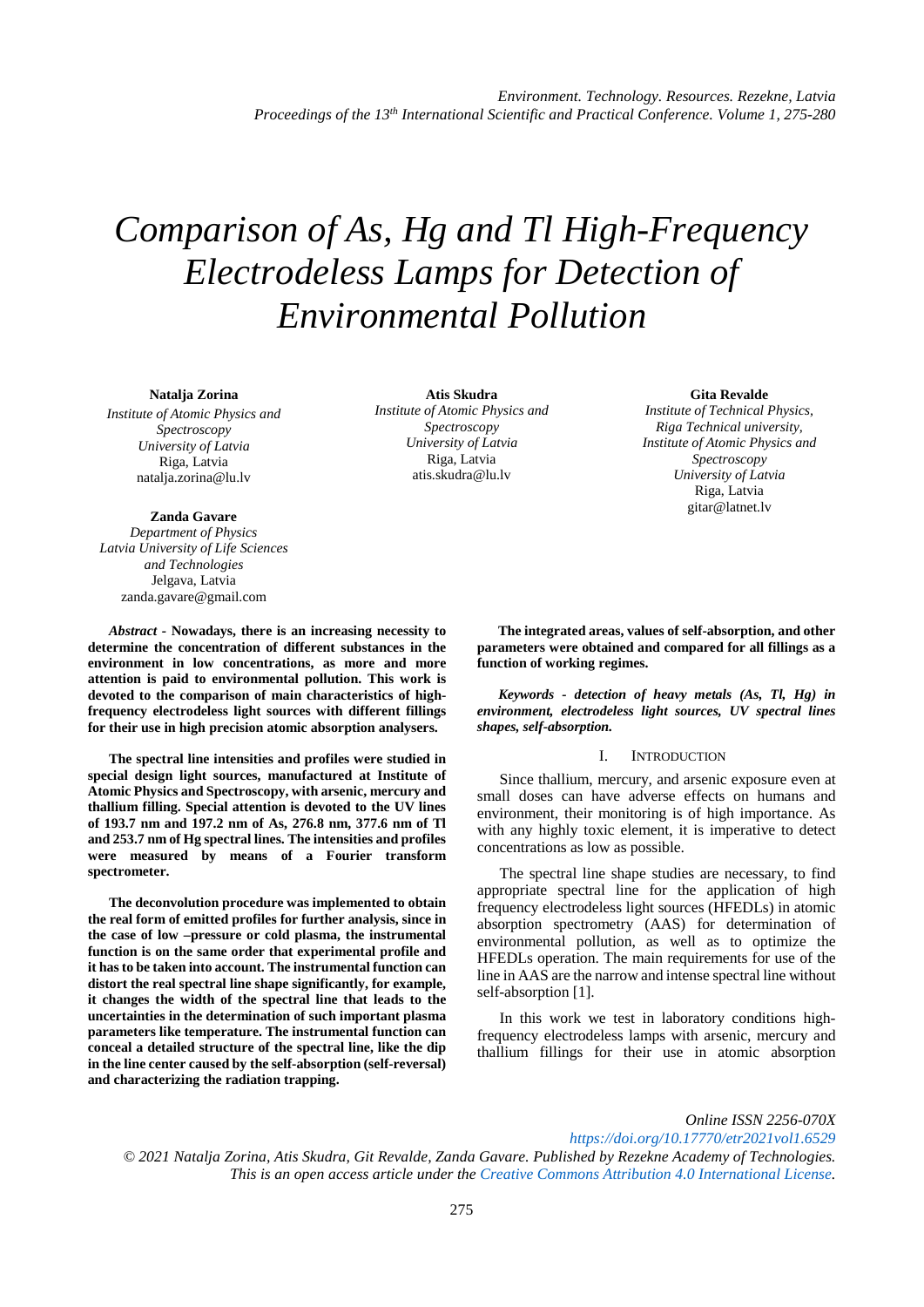# *Comparison of As, Hg and Tl High-Frequency Electrodeless Lamps for Detection of Environmental Pollution*

#### **Natalja Zorina**

*Institute of Atomic Physics and Spectroscopy University of Latvia* Riga, Latvia natalja.zorina@lu.lv

#### **Zanda Gavare**

*Department of Physics Latvia University of Life Sciences and Technologies* Jelgava, Latvia zanda.gavare@gmail.com

*Abstract -* **Nowadays, there is an increasing necessity to determine the concentration of different substances in the environment in low concentrations, as more and more attention is paid to environmental pollution. This work is devoted to the comparison of main characteristics of highfrequency electrodeless light sources with different fillings for their use in high precision atomic absorption analysers.** 

**The spectral line intensities and profiles were studied in special design light sources, manufactured at Institute of Atomic Physics and Spectroscopy, with arsenic, mercury and thallium filling. Special attention is devoted to the UV lines of 193.7 nm and 197.2 nm of As, 276.8 nm, 377.6 nm of Tl and 253.7 nm of Hg spectral lines. The intensities and profiles were measured by means of a Fourier transform spectrometer.** 

**The deconvolution procedure was implemented to obtain the real form of emitted profiles for further analysis, since in the case of low –pressure or cold plasma, the instrumental function is on the same order that experimental profile and it has to be taken into account. The instrumental function can distort the real spectral line shape significantly, for example, it changes the width of the spectral line that leads to the uncertainties in the determination of such important plasma parameters like temperature. The instrumental function can conceal a detailed structure of the spectral line, like the dip in the line center caused by the self-absorption (self-reversal) and characterizing the radiation trapping.**

**Atis Skudra** *Institute of Atomic Physics and Spectroscopy University of Latvia* Riga, Latvia atis.skudra@lu.lv

#### **Gita Revalde**

*Institute of Technical Physics, Riga Technical university, Institute of Atomic Physics and Spectroscopy University of Latvia* Riga, Latvia gitar@latnet.lv

**The integrated areas, values of self-absorption, and other parameters were obtained and compared for all fillings as a function of working regimes.**

*Keywords - detection of heavy metals (As, Tl, Hg) in environment, electrodeless light sources, UV spectral lines shapes, self-absorption.*

#### I. INTRODUCTION

Since thallium, mercury, and arsenic exposure even at small doses can have adverse effects on humans and environment, their monitoring is of high importance. As with any highly toxic element, it is imperative to detect concentrations as low as possible.

The spectral line shape studies are necessary, to find appropriate spectral line for the application of high frequency electrodeless light sources (HFEDLs) in atomic absorption spectrometry (AAS) for determination of environmental pollution, as well as to optimize the HFEDLs operation. The main requirements for use of the line in AAS are the narrow and intense spectral line without self-absorption [1].

In this work we test in laboratory conditions highfrequency electrodeless lamps with arsenic, mercury and thallium fillings for their use in atomic absorption

*Online ISSN 2256-070X <https://doi.org/10.17770/etr2021vol1.6529> © 2021 Natalja Zorina, Atis Skudra, Git Revalde, Zanda Gavare. Published by Rezekne Academy of Technologies. This is an open access article under the [Creative Commons Attribution 4.0 International License.](https://creativecommons.org/licenses/by/4.0/)*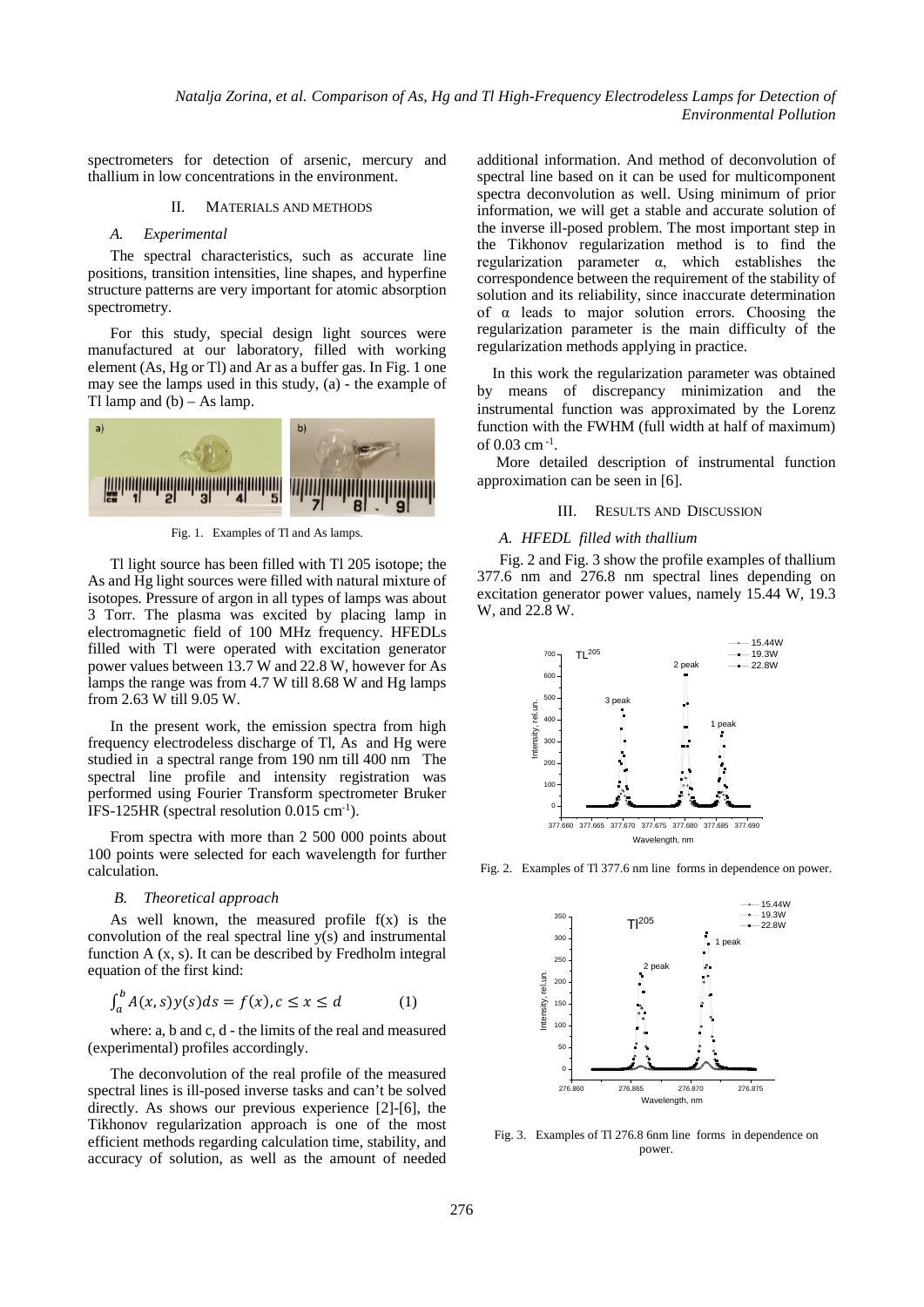spectrometers for detection of arsenic, mercury and thallium in low concentrations in the environment.

### II. MATERIALS AND METHODS

# *A. Experimental*

The spectral characteristics, such as accurate line positions, transition intensities, line shapes, and hyperfine structure patterns are very important for atomic absorption spectrometry.

For this study, special design light sources were manufactured at our laboratory, filled with working element (As, Hg or Tl) and Ar as a buffer gas. In Fig. 1 one may see the lamps used in this study, (a) - the example of Tl lamp and  $(b) - As$  lamp.



Fig. 1. Examples of Tl and As lamps.

Tl light source has been filled with Tl 205 isotope; the As and Hg light sources were filled with natural mixture of isotopes. Pressure of argon in all types of lamps was about 3 Torr. The plasma was excited by placing lamp in electromagnetic field of 100 MHz frequency. HFEDLs filled with Tl were operated with excitation generator power values between 13.7 W and 22.8 W, however for As lamps the range was from 4.7 W till 8.68 W and Hg lamps from 2.63 W till 9.05 W.

In the present work, the emission spectra from high frequency electrodeless discharge of Tl, As and Hg were studied in a spectral range from 190 nm till 400 nm The spectral line profile and intensity registration was performed using Fourier Transform spectrometer Bruker IFS-125HR (spectral resolution 0.015 cm-1 ).

From spectra with more than 2 500 000 points about 100 points were selected for each wavelength for further calculation.

# *B. Theoretical approach*

As well known, the measured profile  $f(x)$  is the convolution of the real spectral line  $y(s)$  and instrumental function A (x, s). It can be described by Fredholm integral equation of the first kind:

$$
\int_{a}^{b} A(x,s)y(s)ds = f(x), c \le x \le d \tag{1}
$$

where: a, b and c, d - the limits of the real and measured (experimental) profiles accordingly.

The deconvolution of the real profile of the measured spectral lines is ill-posed inverse tasks and can't be solved directly. As shows our previous experience [2]-[6], the Tikhonov regularization approach is one of the most efficient methods regarding calculation time, stability, and accuracy of solution, as well as the amount of needed

additional information. And method of deconvolution of spectral line based on it can be used for multicomponent spectra deconvolution as well. Using minimum of prior information, we will get a stable and accurate solution of the inverse ill-posed problem. The most important step in the Tikhonov regularization method is to find the regularization parameter α, which establishes the correspondence between the requirement of the stability of solution and its reliability, since inaccurate determination of α leads to major solution errors. Choosing the regularization parameter is the main difficulty of the regularization methods applying in practice.

 In this work the regularization parameter was obtained by means of discrepancy minimization and the instrumental function was approximated by the Lorenz function with the FWHM (full width at half of maximum) of 0.03 cm-1 .

 More detailed description of instrumental function approximation can be seen in [6].

# III. RESULTS AND DISCUSSION

### *A. HFEDL filled with thallium*

Fig. 2 and Fig. 3 show the profile examples of thallium 377.6 nm and 276.8 nm spectral lines depending on excitation generator power values, namely 15.44 W, 19.3 W, and 22.8 W.



Fig. 2. Examples of Tl 377.6 nm line forms in dependence on power.



Fig. 3. Examples of Tl 276.8 6nm line forms in dependence on power.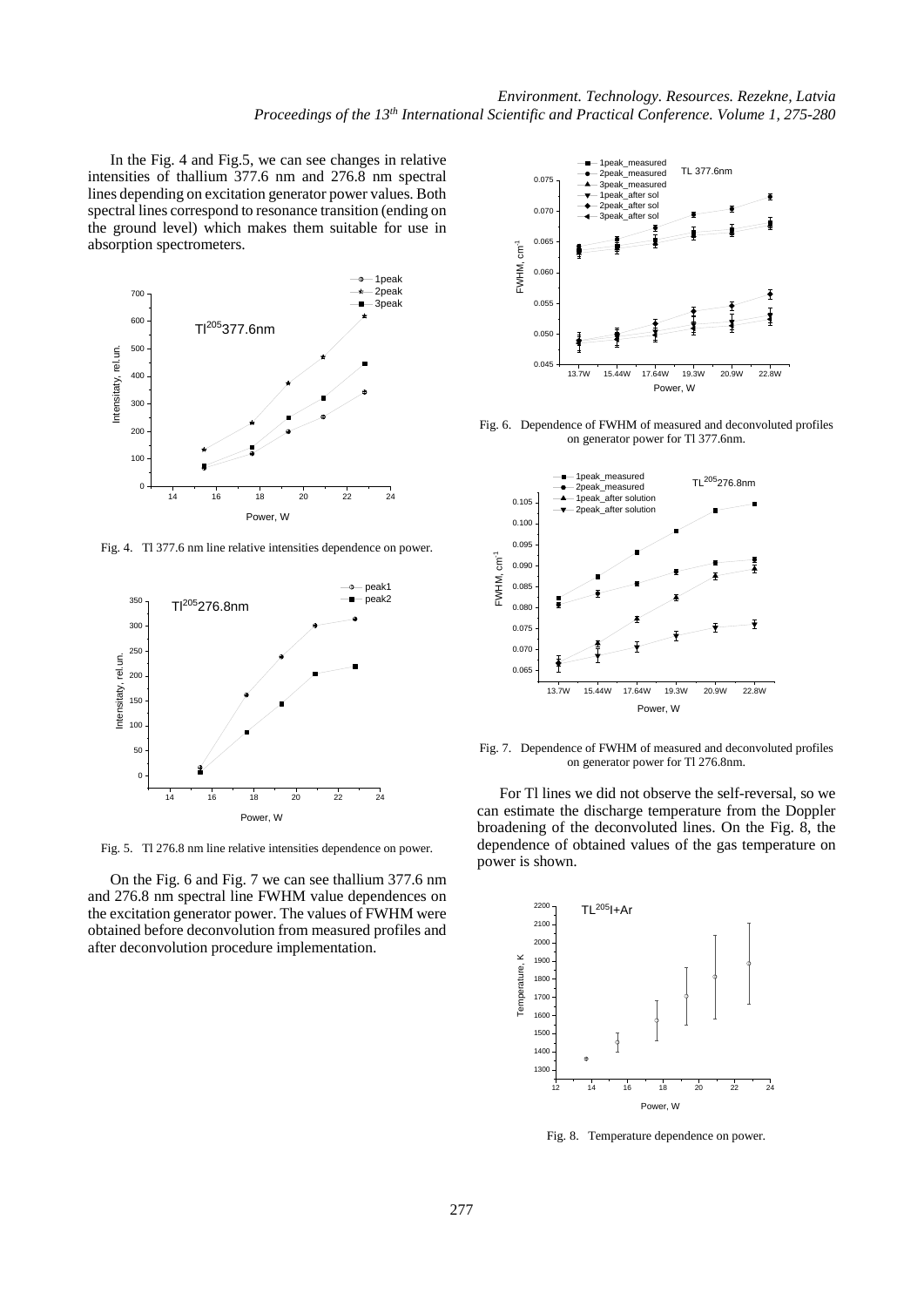In the Fig. 4 and Fig.5, we can see changes in relative intensities of thallium 377.6 nm and 276.8 nm spectral lines depending on excitation generator power values. Both spectral lines correspond to resonance transition (ending on the ground level) which makes them suitable for use in absorption spectrometers.



Fig. 4. Tl 377.6 nm line relative intensities dependence on power.



Fig. 5. Tl 276.8 nm line relative intensities dependence on power.

On the Fig. 6 and Fig. 7 we can see thallium 377.6 nm and 276.8 nm spectral line FWHM value dependences on the excitation generator power. The values of FWHM were obtained before deconvolution from measured profiles and after deconvolution procedure implementation.



Fig. 6. Dependence of FWHM of measured and deconvoluted profiles on generator power for Tl 377.6nm.



Fig. 7. Dependence of FWHM of measured and deconvoluted profiles on generator power for Tl 276.8nm.

For Tl lines we did not observe the self-reversal, so we can estimate the discharge temperature from the Doppler broadening of the deconvoluted lines. On the Fig. 8, the dependence of obtained values of the gas temperature on power is shown.



Fig. 8. Temperature dependence on power.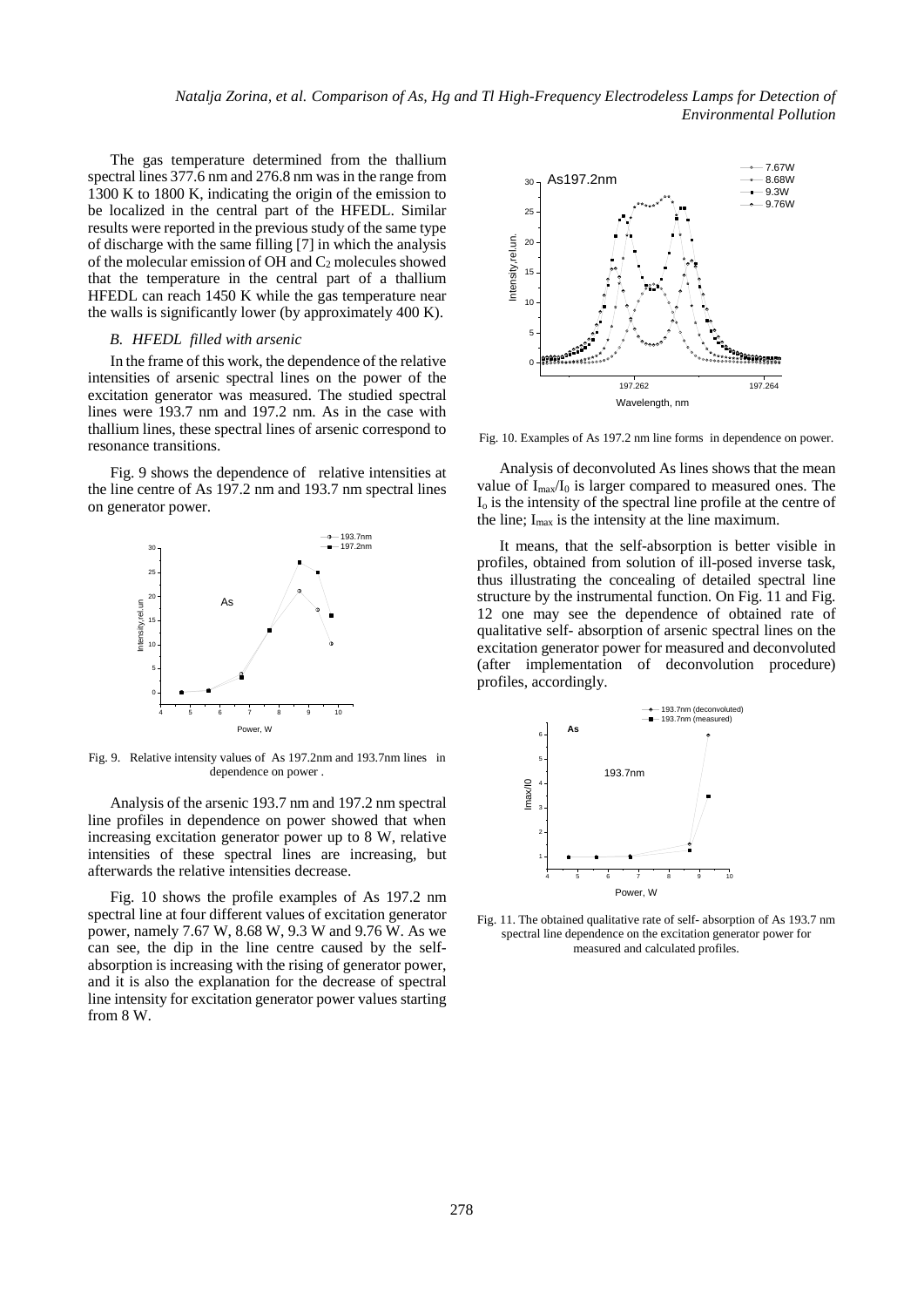*Natalja Zorina, et al. Comparison of As, Hg and Tl High-Frequency Electrodeless Lamps for Detection of Environmental Pollution*

The gas temperature determined from the thallium spectral lines 377.6 nm and 276.8 nm was in the range from 1300 K to 1800 K, indicating the origin of the emission to be localized in the central part of the HFEDL. Similar results were reported in the previous study of the same type of discharge with the same filling [7] in which the analysis of the molecular emission of OH and  $C_2$  molecules showed that the temperature in the central part of a thallium HFEDL can reach 1450 K while the gas temperature near the walls is significantly lower (by approximately 400 K).

# *B. HFEDL filled with arsenic*

In the frame of this work, the dependence of the relative intensities of arsenic spectral lines on the power of the excitation generator was measured. The studied spectral lines were 193.7 nm and 197.2 nm. As in the case with thallium lines, these spectral lines of arsenic correspond to resonance transitions.

Fig. 9 shows the dependence of relative intensities at the line centre of As 197.2 nm and 193.7 nm spectral lines on generator power.



Fig. 9. Relative intensity values of As 197.2nm and 193.7nm lines in dependence on power .

Analysis of the arsenic 193.7 nm and 197.2 nm spectral line profiles in dependence on power showed that when increasing excitation generator power up to 8 W, relative intensities of these spectral lines are increasing, but afterwards the relative intensities decrease.

Fig. 10 shows the profile examples of As 197.2 nm spectral line at four different values of excitation generator power, namely 7.67 W, 8.68 W, 9.3 W and 9.76 W. As we can see, the dip in the line centre caused by the selfabsorption is increasing with the rising of generator power, and it is also the explanation for the decrease of spectral line intensity for excitation generator power values starting from 8 W.



Fig. 10. Examples of As 197.2 nm line forms in dependence on power.

Analysis of deconvoluted As lines shows that the mean value of  $I_{\text{max}}/I_0$  is larger compared to measured ones. The Io is the intensity of the spectral line profile at the centre of the line;  $I_{\text{max}}$  is the intensity at the line maximum.

It means, that the self-absorption is better visible in profiles, obtained from solution of ill-posed inverse task, thus illustrating the concealing of detailed spectral line structure by the instrumental function. On Fig. 11 and Fig. 12 one may see the dependence of obtained rate of qualitative self- absorption of arsenic spectral lines on the excitation generator power for measured and deconvoluted (after implementation of deconvolution procedure) profiles, accordingly.



Fig. 11. The obtained qualitative rate of self- absorption of As 193.7 nm spectral line dependence on the excitation generator power for measured and calculated profiles.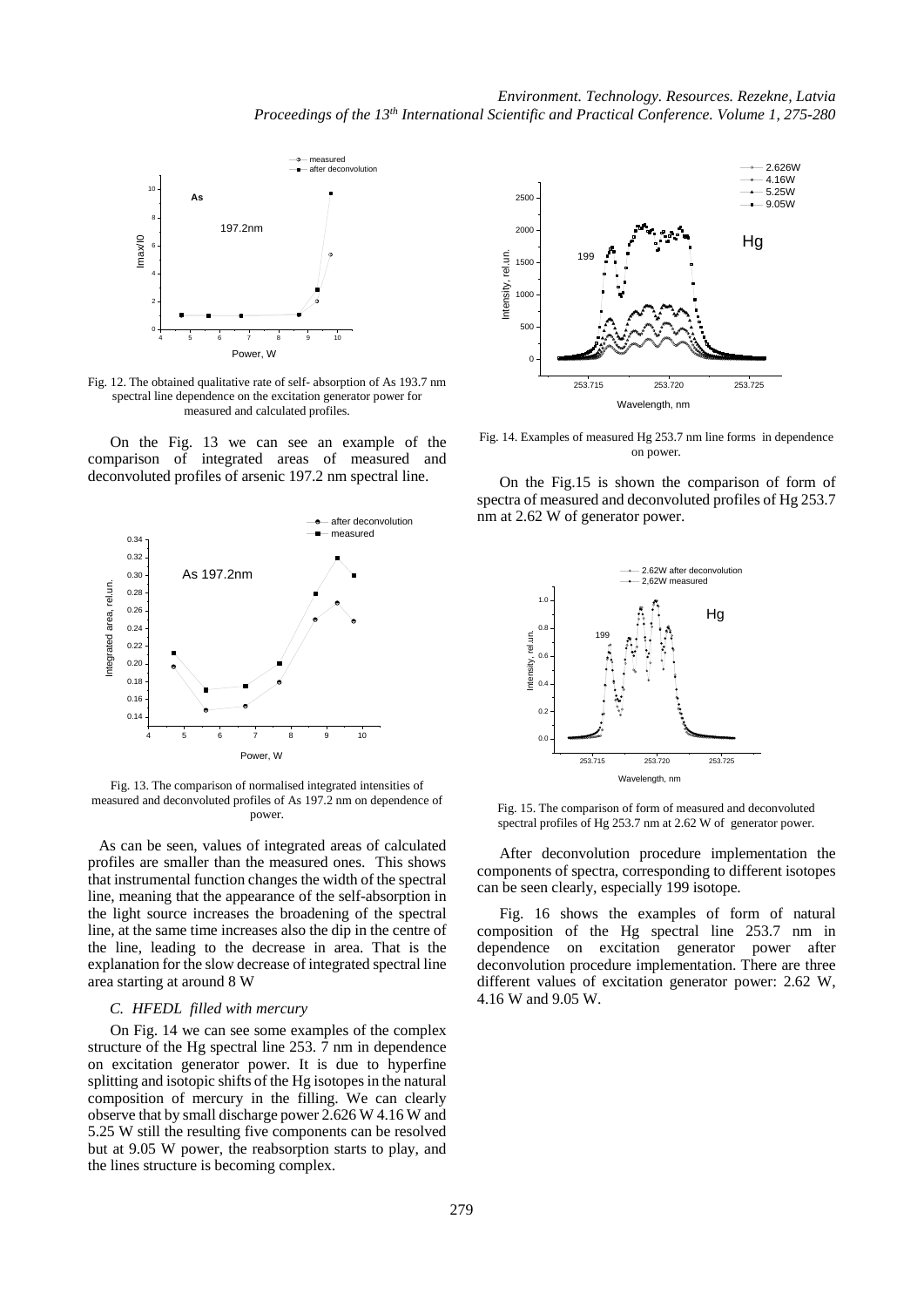

Fig. 12. The obtained qualitative rate of self- absorption of As 193.7 nm spectral line dependence on the excitation generator power for measured and calculated profiles.

On the Fig. 13 we can see an example of the comparison of integrated areas of measured and deconvoluted profiles of arsenic 197.2 nm spectral line.



Fig. 13. The comparison of normalised integrated intensities of measured and deconvoluted profiles of As 197.2 nm on dependence of power.

As can be seen, values of integrated areas of calculated profiles are smaller than the measured ones. This shows that instrumental function changes the width of the spectral line, meaning that the appearance of the self-absorption in the light source increases the broadening of the spectral line, at the same time increases also the dip in the centre of the line, leading to the decrease in area. That is the explanation for the slow decrease of integrated spectral line area starting at around 8 W

# *C. HFEDL filled with mercury*

On Fig. 14 we can see some examples of the complex structure of the Hg spectral line 253. 7 nm in dependence on excitation generator power. It is due to hyperfine splitting and isotopic shifts of the Hg isotopes in the natural composition of mercury in the filling. We can clearly observe that by small discharge power 2.626 W 4.16 W and 5.25 W still the resulting five components can be resolved but at 9.05 W power, the reabsorption starts to play, and the lines structure is becoming complex.



Fig. 14. Examples of measured Hg 253.7 nm line forms in dependence on power.

On the Fig.15 is shown the comparison of form of spectra of measured and deconvoluted profiles of Hg 253.7 nm at 2.62 W of generator power.



Fig. 15. The comparison of form of measured and deconvoluted spectral profiles of Hg 253.7 nm at 2.62 W of generator power.

After deconvolution procedure implementation the components of spectra, corresponding to different isotopes can be seen clearly, especially 199 isotope.

Fig. 16 shows the examples of form of natural composition of the Hg spectral line 253.7 nm in dependence on excitation generator power after deconvolution procedure implementation. There are three different values of excitation generator power: 2.62 W, 4.16 W and 9.05 W.